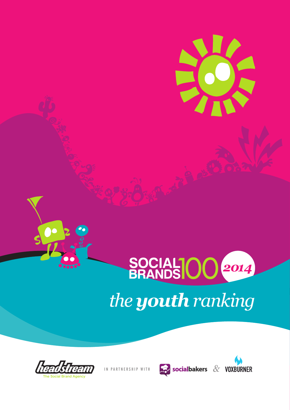



IN PARTNERSHIP WITH



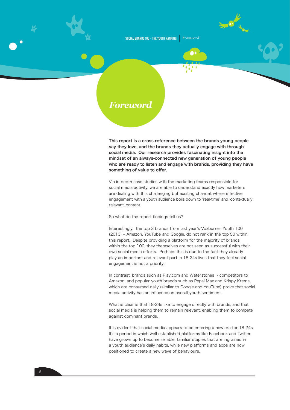SOCIAL BRANDS 100 - THE YOUTH RANKING *Foreword*





# *Foreword*

This report is a cross reference between the brands young people say they love, and the brands they actually engage with through social media. Our research provides fascinating insight into the mindset of an always-connected new generation of young people who are ready to listen and engage with brands, providing they have something of value to offer.

Via in-depth case studies with the marketing teams responsible for social media activity, we are able to understand exactly how marketers are dealing with this challenging but exciting channel, where effective engagement with a youth audience boils down to 'real-time' and 'contextually relevant' content.

So what do the report findings tell us?

Interestingly, the top 3 brands from last year's Voxburner Youth 100 (2013) – Amazon, YouTube and Google, do not rank in the top 50 within this report. Despite providing a platform for the majority of brands within the top 100, they themselves are not seen as successful with their own social media efforts. Perhaps this is due to the fact they already play an important and relevant part in 18-24s lives that they feel social engagement is not a priority.

In contrast, brands such as Play.com and Waterstones - competitors to Amazon, and popular youth brands such as Pepsi Max and Krispy Kreme, which are consumed daily (similar to Google and YouTube) prove that social media activity has an influence on overall youth sentiment.

What is clear is that 18-24s like to engage directly with brands, and that social media is helping them to remain relevant, enabling them to compete against dominant brands.

It is evident that social media appears to be entering a new era for 18-24s. It's a period in which well-established platforms like Facebook and Twitter have grown up to become reliable, familiar staples that are ingrained in a youth audience's daily habits, while new platforms and apps are now positioned to create a new wave of behaviours.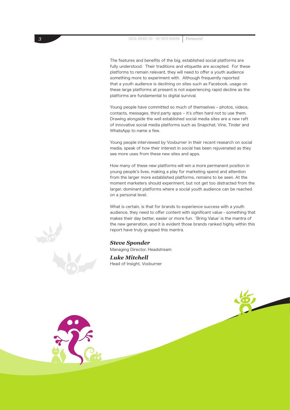The features and benefits of the big, established social platforms are fully understood. Their traditions and etiquette are accepted. For these platforms to remain relevant, they will need to offer a youth audience something more to experiment with. Although frequently reported that a youth audience is declining on sites such as Facebook, usage on these large platforms at present is not experiencing rapid decline as the platforms are fundamental to digital survival.

Young people have committed so much of themselves – photos, videos, contacts, messages, third party apps – it's often hard not to use them. Drawing alongside the well established social media sites are a new raft of innovative social media platforms such as Snapchat, Vine, Tinder and WhatsApp to name a few.

Young people interviewed by Voxburner in their recent research on social media, speak of how their interest in social has been rejuvenated as they see more uses from these new sites and apps.

How many of these new platforms will win a more permanent position in young people's lives, making a play for marketing spend and attention from the larger more established platforms, remains to be seen. At the moment marketers should experiment, but not get too distracted from the larger, dominant platforms where a social youth audience can be reached on a personal level.

What is certain, is that for brands to experience success with a youth audience, they need to offer content with significant value - something that makes their day better, easier or more fun. 'Bring Value' is the mantra of the new generation, and it is evident those brands ranked highly within this report have truly grasped this mantra.

# *Steve Sponder*

Managing Director, Headstream

*Luke Mitchell* Head of Insight, Voxburner



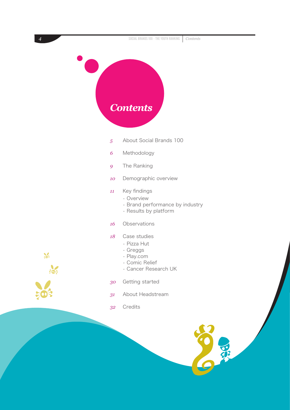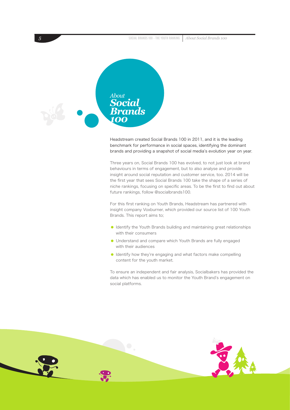*5* SOCIAL BRANDS 100 - THE YOUTH RANKING *About Social Brands 100*



Headstream created Social Brands 100 in 2011, and it is the leading benchmark for performance in social spaces, identifying the dominant brands and providing a snapshot of social media's evolution year on year.

Three years on, Social Brands 100 has evolved, to not just look at brand behaviours in terms of engagement, but to also analyse and provide insight around social reputation and customer service, too. 2014 will be the first year that sees Social Brands 100 take the shape of a series of niche rankings, focusing on specific areas. To be the first to find out about future rankings, follow @socialbrands100.

For this first ranking on Youth Brands, Headstream has partnered with insight company Voxburner, which provided our source list of 100 Youth Brands. This report aims to;

- Identify the Youth Brands building and maintaining great relationships with their consumers
- Understand and compare which Youth Brands are fully engaged with their audiences
- $\bullet$  Identify how they're engaging and what factors make compelling content for the youth market.

To ensure an independent and fair analysis, Socialbakers has provided the data which has enabled us to monitor the Youth Brand's engagement on social platforms.

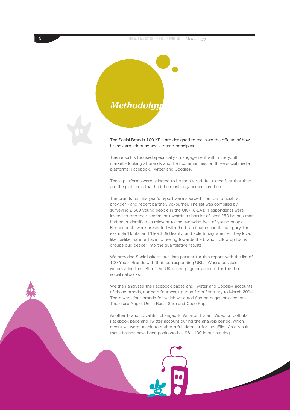*6* SOCIAL BRANDS 100 - THE YOUTH RANKING *Methodolgy*



The Social Brands 100 KPIs are designed to measure the effects of how brands are adopting social brand principles.

This report is focused specifically on engagement within the youth market – looking at brands and their communities, on three social media platforms; Facebook, Twitter and Google+.

These platforms were selected to be monitored due to the fact that they are the platforms that had the most engagement on them.

The brands for this year's report were sourced from our official list provider - and report partner, Voxburner. The list was compiled by surveying 2,569 young people in the UK (18-24s). Respondents were invited to rate their sentiment towards a shortlist of over 250 brands that had been identified as relevant to the everyday lives of young people. Respondents were presented with the brand name and its category, for example 'Boots' and 'Health & Beauty' and able to say whether they love, like, dislike, hate or have no feeling towards the brand. Follow up focus groups dug deeper into the quantitative results.

We provided Socialbakers, our data partner for this report, with the list of 100 Youth Brands with their corresponding URLs. Where possible, we provided the URL of the UK based page or account for the three social networks.

We then analysed the Facebook pages and Twitter and Google+ accounts of those brands, during a four week period from February to March 2014. There were four brands for which we could find no pages or accounts. These are Apple, Uncle Bens, Sure and Coco Pops.

Another brand, LoveFilm, changed to Amazon Instant Video on both its Facebook page and Twitter account during the analysis period, which meant we were unable to gather a full data set for LoveFilm. As a result, these brands have been positioned as 96 - 100 in our ranking.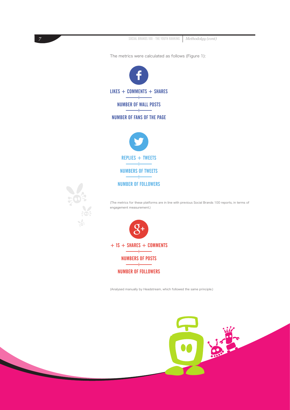*7* SOCIAL BRANDS 100 - THE YOUTH RANKING *Methodolgy (cont)* The metrics were calculated as follows (Figure 1):  $LIKES + COMMENTS + SHARES$ NUMBER OF WALL POSTS  $\mathcal{O}(\mathcal{O})$ NUMBER OF FANS OF THE PAGE REPLIES + TWEETS NUMBERS OF TWEETS NUMBER OF FOLLOWERS (The metrics for these platforms are in line with previous Social Brands 100 reports, in terms of engagement measurement.)  $+ 1S + SHARES + COMMENTS$  $\overline{\phantom{a}}$ NUMBERS OF POSTS NUMBER OF FOLLOWERS

(Analysed manually by Headstream, which followed the same principle.)

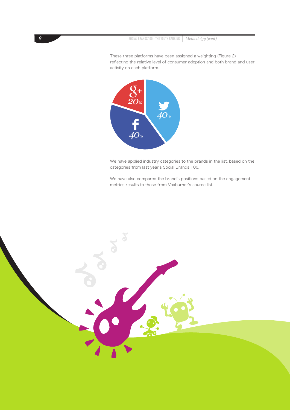*8* SOCIAL BRANDS 100 - THE YOUTH RANKING *Methodolgy (cont)*

These three platforms have been assigned a weighting (Figure 2) reflecting the relative level of consumer adoption and both brand and user activity on each platform.



We have applied industry categories to the brands in the list, based on the categories from last year's Social Brands 100.

We have also compared the brand's positions based on the engagement metrics results to those from Voxburner's source list.

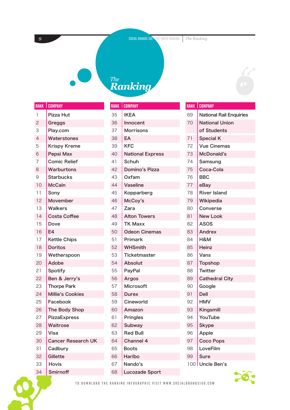**SOCIAL BRANDS 100 THE YOUTH RANKING** *The Ranking* 

![](_page_8_Picture_2.jpeg)

![](_page_8_Picture_3.jpeg)

| <b>RANK</b>    | <b>COMPANY</b><br>I       |
|----------------|---------------------------|
| 1              | Pizza Hut                 |
| $\overline{c}$ | Greggs                    |
| 3              | Play.com                  |
| $\overline{4}$ | Waterstones               |
| 5              | <b>Krispy Kreme</b>       |
| 6              | Pepsi Max                 |
| 7              | <b>Comic Relief</b>       |
| 8              | Warburtons                |
| 9              | Starbucks                 |
| 10             | <b>McCain</b>             |
| 11             | Sony                      |
| 12             | Movember                  |
| 13             | Walkers                   |
| 14             | <b>Costa Coffee</b>       |
| 15             | Dove                      |
| 16             | E4                        |
| 17             | <b>Kettle Chips</b>       |
| 18             | <b>Doritos</b>            |
| 19             | Wetherspoon               |
| 20             | <b>Adobe</b>              |
| 21             | Spotify                   |
| 22             | Ben & Jerry's             |
| 23             | <b>Thorpe Park</b>        |
| 24             | <b>Millie's Cookies</b>   |
| 25             | Facebook                  |
| 26             | <b>The Body Shop</b>      |
| 27             | <b>PizzaExpress</b>       |
| 28             | Waitrose                  |
| 29             | Visa                      |
| 30             | <b>Cancer Research UK</b> |
| 31             | Cadbury                   |
| 32             | Gillette                  |
| 33             | Hovis                     |
| 34             | Smirnoff                  |

| <b>RANK</b> | <b>COMPANY</b><br>T     |
|-------------|-------------------------|
| 35          | <b>IKEA</b>             |
| 36          | Innocent                |
| 37          | <b>Morrisons</b>        |
| 38          | EA                      |
| 39          | <b>KFC</b>              |
| 40          | <b>National Express</b> |
| 41          | Schuh                   |
| 42          | <b>Domino's Pizza</b>   |
| 43          | Oxfam                   |
| 44          | <b>Vaseline</b>         |
| 45          | Kopparberg              |
| 46          | McCoy's                 |
| 47          | Zara                    |
| 48          | <b>Alton Towers</b>     |
| 49          | <b>TK Maxx</b>          |
| 50          | <b>Odeon Cinemas</b>    |
| 51          | Primark                 |
| 52          | <b>WHSmith</b>          |
| 53          | Ticketmaster            |
| 54          | <b>Absolut</b>          |
| 55          | PayPal                  |
| 56          | Argos                   |
| 57          | Microsoft               |
| 58          | <b>Durex</b>            |
| 59          | Cineworld               |
| 60          | Amazon                  |
| 61          | Pringles                |
| 62          | <b>Subway</b>           |
| 63          | <b>Red Bull</b>         |
| 64          | Channel 4               |
| 65          | <b>Boots</b>            |
| 66          | Haribo                  |
| 67          | Nando's                 |
| 68          | <b>Lucozade Sport</b>   |

| <b>RANK</b> | <b>COMPANY</b><br>ı            |
|-------------|--------------------------------|
| 69          | <b>National Rail Enquiries</b> |
| 70          | <b>National Union</b>          |
|             | of Students                    |
| 71          | <b>Special K</b>               |
| 72          | <b>Vue Cinemas</b>             |
| 73          | McDonald's                     |
| 74          | Samsung                        |
| 75          | Coca-Cola                      |
| 76          | <b>BBC</b>                     |
| 77          | eBay                           |
| 78          | <b>River Island</b>            |
| 79          | Wikipedia                      |
| 80          | <b>Converse</b>                |
| 81          | <b>New Look</b>                |
| 82          | <b>ASOS</b>                    |
| 83          | <b>Andrex</b>                  |
| 84          | <b>H&amp;M</b>                 |
| 85          | Heinz                          |
| 86          | Vans                           |
| 87          | <b>Topshop</b>                 |
| 88          | Twitter                        |
| 89          | <b>Cathedral City</b>          |
| 90          | Google                         |
| 91          | <b>Dell</b>                    |
| 92          | HMV                            |
| 93          | Kingsmill                      |
| 94          | YouTube                        |
| 95          | Skype                          |
| 96          | Apple                          |
| 97          | <b>Coco Pops</b>               |
| 98          | LoveFilm                       |
| 99          | <b>Sure</b>                    |
| 100         | <b>Uncle Ben's</b>             |

![](_page_8_Picture_7.jpeg)

![](_page_8_Picture_9.jpeg)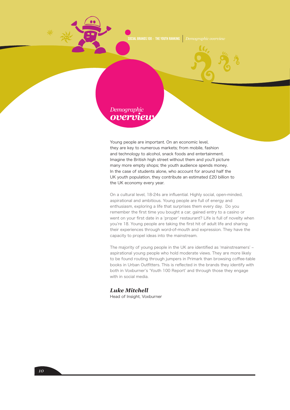SOCIAL BRANDS 100 - THE YOUTH RANKING *Demographic overview*

![](_page_9_Picture_1.jpeg)

Young people are important. On an economic level, they are key to numerous markets; from mobile, fashion and technology to alcohol, snack foods and entertainment. Imagine the British high street without them and you'll picture many more empty shops; the youth audience spends money. In the case of students alone, who account for around half the UK youth population, they contribute an estimated £20 billion to the UK economy every year.

On a cultural level, 18-24s are influential. Highly social, open-minded, aspirational and ambitious. Young people are full of energy and enthusiasm, exploring a life that surprises them every day. Do you remember the first time you bought a car, gained entry to a casino or went on your first date in a 'proper' restaurant? Life is full of novelty when you're 18. Young people are taking the first hit of adult life and sharing their experiences through word-of-mouth and expression. They have the capacity to propel ideas into the mainstream.

The majority of young people in the UK are identified as 'mainstreamers' – aspirational young people who hold moderate views. They are more likely to be found routing through jumpers in Primark than browsing coffee-table books in Urban Outfitters. This is reflected in the brands they identify with both in Voxburner's 'Youth 100 Report' and through those they engage with in social media.

# *Luke Mitchell*

Head of Insight, Voxburner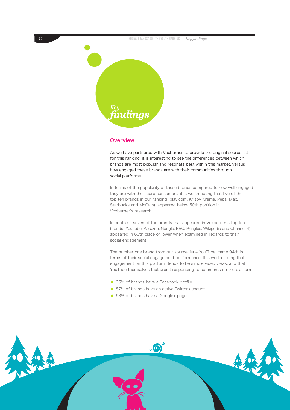![](_page_10_Picture_0.jpeg)

## **Overview**

As we have partnered with Voxburner to provide the original source list for this ranking, it is interesting to see the differences between which brands are most popular and resonate best within this market, versus how engaged these brands are with their communities through social platforms.

In terms of the popularity of these brands compared to how well engaged they are with their core consumers, it is worth noting that five of the top ten brands in our ranking (play.com, Krispy Kreme, Pepsi Max, Starbucks and McCain), appeared below 50th position in Voxburner's research.

In contrast, seven of the brands that appeared in Voxburner's top ten brands (YouTube, Amazon, Google, BBC, Pringles, Wikipedia and Channel 4), appeared in 60th place or lower when examined in regards to their social engagement.

The number one brand from our source list – YouTube, came 94th in terms of their social engagement performance. It is worth noting that engagement on this platform tends to be simple video views, and that YouTube themselves that aren't responding to comments on the platform.

- 95% of brands have a Facebook profile
- 87% of brands have an active Twitter account
- 53% of brands have a Google+ page

![](_page_10_Picture_9.jpeg)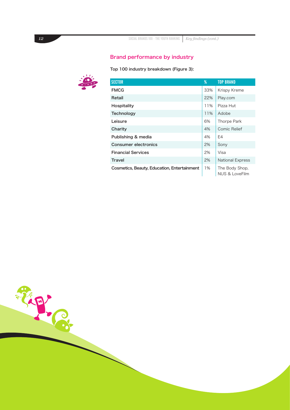# Brand performance by industry

# Top 100 industry breakdown (Figure 3):

![](_page_11_Picture_3.jpeg)

| <b>SECTOR</b>                                      | $\%$ | <b>TOP BRAND</b>                 |
|----------------------------------------------------|------|----------------------------------|
| <b>FMCG</b>                                        | 33%  | Krispy Kreme                     |
| Retail                                             | 22%  | Play.com                         |
| <b>Hospitality</b>                                 | 11%  | Pizza Hut                        |
| <b>Technology</b>                                  | 11%  | Adobe                            |
| Leisure                                            | 6%   | Thorpe Park                      |
| Charity                                            | 4%   | Comic Relief                     |
| Publishing & media                                 | 4%   | F4                               |
| <b>Consumer electronics</b>                        | 2%   | Sony                             |
| <b>Financial Services</b>                          |      | Visa                             |
| <b>Travel</b>                                      | 2%   | <b>National Express</b>          |
| <b>Cosmetics, Beauty, Education, Entertainment</b> |      | The Body Shop,<br>NUS & LoveFilm |

TAP .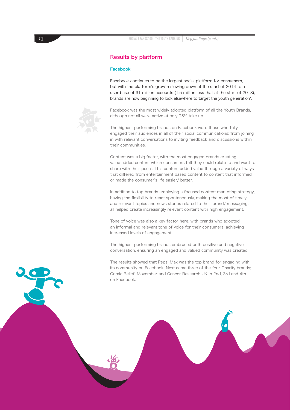# Results by platform

## Facebook

Facebook continues to be the largest social platform for consumers, but with the platform's growth slowing down at the start of 2014 to a user base of 31 million accounts (1.5 million less that at the start of 2013), brands are now beginning to look elsewhere to target the youth generation\*.

Facebook was the most widely adopted platform of all the Youth Brands, although not all were active at only 95% take up.

The highest performing brands on Facebook were those who fully engaged their audiences in all of their social communications; from joining in with relevant conversations to inviting feedback and discussions within their communities.

Content was a big factor, with the most engaged brands creating value-added content which consumers felt they could relate to and want to share with their peers. This content added value through a variety of ways that differed from entertainment based content to content that informed or made the consumer's life easier/ better.

In addition to top brands employing a focused content marketing strategy, having the flexibility to react spontaneously, making the most of timely and relevant topics and news stories related to their brand/ messaging, all helped create increasingly relevant content with high engagement.

Tone of voice was also a key factor here, with brands who adopted an informal and relevant tone of voice for their consumers, achieving increased levels of engagement.

The highest performing brands embraced both positive and negative conversation, ensuring an engaged and valued community was created.

The results showed that Pepsi Max was the top brand for engaging with its community on Facebook. Next came three of the four Charity brands; Comic Relief, Movember and Cancer Research UK in 2nd, 3rd and 4th on Facebook.

![](_page_12_Picture_11.jpeg)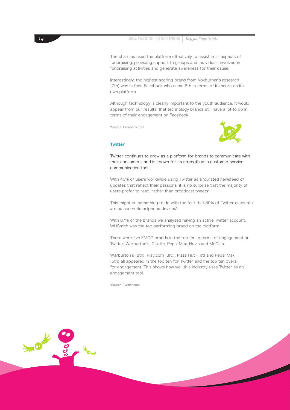The charities used the platform effectively to assist in all aspects of fundraising, providing support to groups and individuals involved in fundraising activities and generate awareness for their cause.

Interestingly, the highest scoring brand from Voxburner's research (7th) was in fact, Facebook who came 6th in terms of its score on its own platform.

Although technology is clearly important to the youth audience, it would appear from our results, that technology brands still have a lot to do in terms of their engagement on Facebook.

\*Source: Facebook.com

![](_page_13_Picture_5.jpeg)

#### **Twitter**

Twitter continues to grow as a platform for brands to communicate with their consumers, and is known for its strength as a customer service communication tool.

With 40% of users worldwide using Twitter as a 'curated newsfeed of updates that reflect their passions' it is no surprise that the majority of users prefer to read, rather than broadcast tweets\*.

This might be something to do with the fact that 80% of Twitter accounts are active on Smartphone devices\*.

With 87% of the brands we analysed having an active Twitter account, WHSmith was the top performing brand on the platform.

There were five FMCG brands in the top ten in terms of engagement on Twitter: Warburton's, Gillette, Pepsi Max, Hovis and McCain.

Warburton's (8th), Play.com (3rd), Pizza Hut (1st) and Pepsi Max (6th) all appeared in the top ten for Twitter and the top ten overall for engagement. This shows how well this industry uses Twitter as an engagement tool.

\*Source: Twitter.com

![](_page_13_Figure_14.jpeg)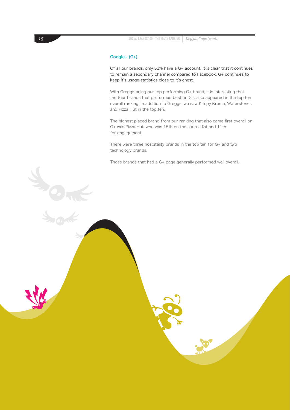# Google+ (G+)

Of all our brands, only 53% have a G+ account. It is clear that it continues to remain a secondary channel compared to Facebook. G+ continues to keep it's usage statistics close to it's chest.

With Greggs being our top performing G+ brand, it is interesting that the four brands that performed best on G+, also appeared in the top ten overall ranking. In addition to Greggs, we saw Krispy Kreme, Waterstones and Pizza Hut in the top ten.

The highest placed brand from our ranking that also came first overall on G+ was Pizza Hut, who was 15th on the source list and 11th for engagement.

There were three hospitality brands in the top ten for G+ and two technology brands.

Those brands that had a G+ page generally performed well overall.

**SOUTHERN**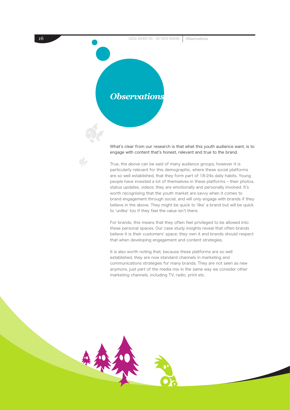**16** SOCIAL BRANDS 100 - THE YOUTH RANKING *Observations* 

# *Observations*

What's clear from our research is that what this youth audience want, is to engage with content that's honest, relevant and true to the brand.

True, the above can be said of many audience groups, however it is particularly relevant for this demographic, where these social platforms are so well established, that they form part of 18-24s daily habits. Young people have invested a lot of themselves in these platforms – their photos, status updates, videos; they are emotionally and personally involved. It's worth recognising that the youth market are savvy when it comes to brand engagement through social, and will only engage with brands if they believe in the above. They might be quick to 'like' a brand but will be quick to 'unlike' too if they feel the value isn't there.

For brands, this means that they often feel privileged to be allowed into these personal spaces. Our case study insights reveal that often brands believe it is their customers' space; they own it and brands should respect that when developing engagement and content strategies.

It is also worth noting that, because these platforms are so well established, they are now standard channels in marketing and communications strategies for many brands. They are not seen as new anymore, just part of the media mix in the same way we consider other marketing channels, including TV, radio, print etc.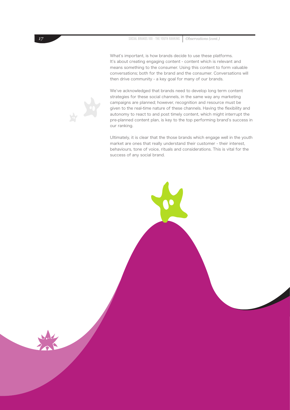**17** SOCIAL BRANDS 100 - THE YOUTH RANKING *Observations (cont.)* 

What's important, is how brands decide to use these platforms. It's about creating engaging content - content which is relevant and means something to the consumer. Using this content to form valuable conversations; both for the brand and the consumer. Conversations will then drive community - a key goal for many of our brands.

We've acknowledged that brands need to develop long term content strategies for these social channels, in the same way any marketing campaigns are planned; however, recognition and resource must be given to the real-time nature of these channels. Having the flexibility and autonomy to react to and post timely content, which might interrupt the pre-planned content plan, is key to the top performing brand's success in our ranking.

Ultimately, it is clear that the those brands which engage well in the youth market are ones that really understand their customer - their interest, behaviours, tone of voice, rituals and considerations. This is vital for the success of any social brand.

![](_page_16_Picture_4.jpeg)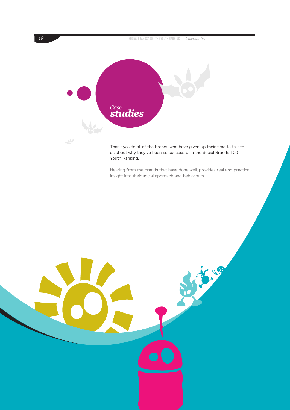![](_page_17_Picture_0.jpeg)

Le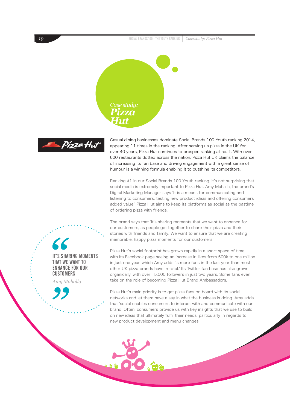*19* SOCIAL BRANDS 100 - THE YOUTH RANKING *Case study: Pizza Hut*

![](_page_18_Picture_1.jpeg)

![](_page_18_Picture_2.jpeg)

Casual dining businesses dominate Social Brands 100 Youth ranking 2014, appearing 11 times in the ranking. After serving us pizza in the UK for over 40 years, Pizza Hut continues to prosper, ranking at no. 1. With over 600 restaurants dotted across the nation, Pizza Hut UK claims the balance of increasing its fan base and driving engagement with a great sense of humour is a winning formula enabling it to outshine its competitors.

Ranking #1 in our Social Brands 100 Youth ranking, it's not surprising that social media is extremely important to Pizza Hut. Amy Mahalla, the brand's Digital Marketing Manager says 'It is a means for communicating and listening to consumers, testing new product ideas and offering consumers added value.' Pizza Hut aims to keep its platforms as social as the pastime of ordering pizza with friends.

The brand says that 'It's sharing moments that we want to enhance for our customers, as people get together to share their pizza and their stories with friends and family. We want to ensure that we are creating memorable, happy pizza moments for our customers.'

Pizza Hut's social footprint has grown rapidly in a short space of time, with its Facebook page seeing an increase in likes from 500k to one million in just one year, which Amy adds 'is more fans in the last year than most other UK pizza brands have in total.' Its Twitter fan base has also grown organically, with over 15,000 followers in just two years. Some fans even take on the role of becoming Pizza Hut Brand Ambassadors.

Pizza Hut's main priority is to get pizza fans on board with its social networks and let them have a say in what the business is doing. Amy adds that 'social enables consumers to interact with and communicate with our brand. Often, consumers provide us with key insights that we use to build on new ideas that ultimately fulfil their needs, particularly in regards to new product development and menu changes.'

![](_page_18_Picture_8.jpeg)

*Amy Mahalla*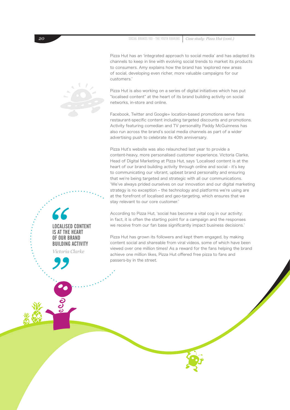**20** SOCIAL BRANDS 100 - THE YOUTH RANKING *Case study: Pizza Hut (cont.)* 

Pizza Hut has an 'integrated approach to social media' and has adapted its channels to keep in line with evolving social trends to market its products to consumers. Amy explains how the brand has 'explored new areas of social, developing even richer, more valuable campaigns for our customers.'

Pizza Hut is also working on a series of digital initiatives which has put "localised content" at the heart of its brand building activity on social networks, in-store and online.

Facebook, Twitter and Google+ location-based promotions serve fans restaurant-specific content including targeted discounts and promotions. Activity featuring comedian and TV personality Paddy McGuinness has also run across the brand's social media channels as part of a wider advertising push to celebrate its 40th anniversary.

Pizza Hut's website was also relaunched last year to provide a content-heavy, more personalised customer experience. Victoria Clarke, Head of Digital Marketing at Pizza Hut, says 'Localised content is at the heart of our brand building activity through online and social - it's key to communicating our vibrant, upbeat brand personality and ensuring that we're being targeted and strategic with all our communications. 'We've always prided ourselves on our innovation and our digital marketing strategy is no exception – the technology and platforms we're using are at the forefront of localised and geo-targeting, which ensures that we stay relevant to our core customer.'

According to Pizza Hut, 'social has become a vital cog in our activity; in fact, it is often the starting point for a campaign and the responses we receive from our fan base significantly impact business decisions.'

Pizza Hut has grown its followers and kept them engaged, by making content social and shareable from viral videos, some of which have been viewed over one million times! As a reward for the fans helping the brand achieve one million likes, Pizza Hut offered free pizza to fans and passers-by in the street.

# LOCALISED CONTENT IS AT THE HEART OF OUR BRAND BUILDING ACTIVITY

*Victoria Clarke*

![](_page_19_Picture_10.jpeg)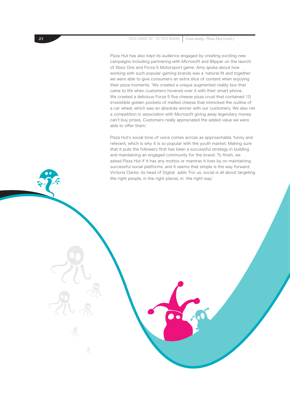Pizza Hut has also kept its audience engaged by creating exciting new campaigns including partnering with Microsoft and Blippar on the launch of Xbox One and Forza 5 Motorsport game. Amy spoke about how working with such popular gaming brands was a 'natural fit and together we were able to give consumers an extra slice of content when enjoying their pizza moments. 'We created a unique augmented reality box that came to life when customers hovered over it with their smart phone. We created a delicious Forza 5 five cheese pizza crust that contained 10 irresistible golden pockets of melted cheese that mimicked the outline of a car wheel, which was an absolute winner with our customers. We also ran a competition in association with Microsoft giving away legendary money can't buy prizes. Customers really appreciated the added value we were able to offer them.'

Pizza Hut's social tone of voice comes across as approachable, funny and relevant, which is why it is so popular with the youth market. Making sure that it puts the followers first has been a successful strategy in building and maintaining an engaged community for the brand. To finish, we asked Pizza Hut if it has any mottos or mantras it lives by on maintaining successful social platforms, and it seems that simple is the way forward. Victoria Clarke, its head of Digital adds 'For us, social is all about targeting the right people, in the right places, in the right way.'

 $\mathcal{R}$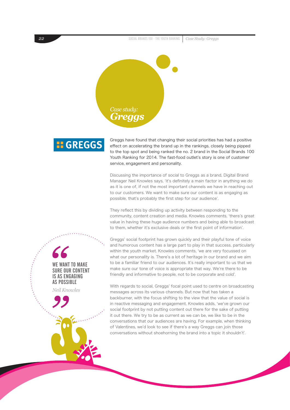*22* SOCIAL BRANDS 100 - THE YOUTH RANKING *Case Study: Greggs*

![](_page_21_Picture_1.jpeg)

![](_page_21_Picture_2.jpeg)

Greggs have found that changing their social priorities has had a positive effect on accelerating the brand up in the rankings, closely being pipped to the top spot and being ranked the no. 2 brand in the Social Brands 100 Youth Ranking for 2014. The fast-food outlet's story is one of customer service, engagement and personality.

Discussing the importance of social to Greggs as a brand, Digital Brand Manager Neil Knowles says, 'it's definitely a main factor in anything we do as it is one of, if not the most important channels we have in reaching out to our customers. We want to make sure our content is as engaging as possible, that's probably the first step for our audience'.

They reflect this by dividing up activity between responding to the community, content creation and media. Knowles comments, 'there's great value in having these huge audience numbers and being able to broadcast to them, whether it's exclusive deals or the first point of information'.

Greggs' social footprint has grown quickly and their playful tone of voice and humorous content has a large part to play in that success, particularly within the youth market. Knowles comments, 'we are very focussed on what our personality is. There's a lot of heritage in our brand and we aim to be a familiar friend to our audiences. It's really important to us that we make sure our tone of voice is appropriate that way. We're there to be friendly and informative to people, not to be corporate and cold'.

With regards to social, Greggs' focal point used to centre on broadcasting messages across its various channels. But now that has taken a backburner, with the focus shifting to the view that the value of social is in reactive messaging and engagement. Knowles adds, 'we've grown our social footprint by not putting content out there for the sake of putting it out there. We try to be as current as we can be, we like to be in the conversations that our audiences are having. For example, when thinking of Valentines, we'd look to see if there's a way Greggs can join those conversations without shoehorning the brand into a topic it shouldn't'.

WE WANT TO MAKE SURE OUR CONTENT IS AS ENGAGING AS POSSIBLE

*Neil Knowles*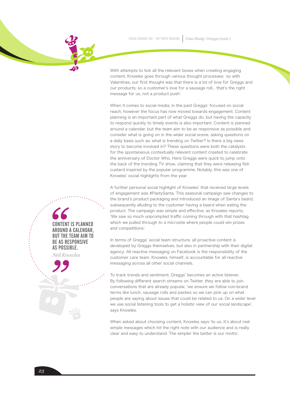SOCIAL BRANDS 100 - THE YOUTH RANKING *Case Study: Greggs (cont.)*

![](_page_22_Picture_1.jpeg)

When it comes to social media, in the past Greggs' focused on social reach, however the focus has now moved towards engagement. Content planning is an important part of what Greggs do, but having the capacity to respond quickly to timely events is also important. Content is planned around a calendar, but the team aim to be as responsive as possible and consider what is going on in the wider social scene, asking questions on a daily basis such as; what is trending on Twitter? Is there a big news story to become involved in? These questions were both the catalysts for the spontaneous contextually relevant content created to celebrate the anniversary of Doctor Who. Here Greggs were quick to jump onto the back of the trending TV show, claiming that they were releasing fish custard inspired by the popular programme. Notably, this was one of Knowles' social highlights from the year.

A further personal social highlight of Knowles' that received large levels of engagement was #PastySanta. This seasonal campaign saw changes to the brand's product packaging and introduced an image of Santa's beard, subsequently alluding to the customer having a beard when eating the product. The campaign was simple and effective, as Knowles reports, 'We saw so much unprompted traffic coming through with that hashtag which we pulled through to a microsite where people could win prizes and competitions'.

In terms of Greggs' social team structure, all proactive content is developed by Greggs themselves, but also in partnership with their digital agency. All reactive messaging on Facebook is the responsibility of the customer care team. Knowles, himself, is accountable for all reactive messaging across all other social channels.

To track trends and sentiment, Greggs' becomes an active listener. By following different search streams on Twitter, they are able to join conversations that are already popular, 'we ensure we follow non-brand terms like lunch, sausage rolls and pasties so we can pick up on what people are saying about issues that could be related to us. On a wider level we use social listening tools to get a holistic view of our social landscape', says Knowles.

When asked about choosing content, Knowles says 'to us, it's about real simple messages which hit the right note with our audience and is really clear and easy to understand. The simpler the better is our motto'.

CONTENT IS PLANNED AROUND A CALENDAR, BUT THE TEAM AIM TO BE AS RESPONSIVE AS POSSIBLE.

![](_page_22_Picture_8.jpeg)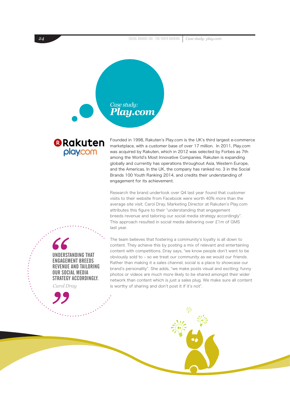*24* SOCIAL BRANDS 100 - THE YOUTH RANKING *Case study: play.com*

![](_page_23_Picture_1.jpeg)

![](_page_23_Picture_2.jpeg)

Founded in 1998, Rakuten's Play.com is the UK's third largest e-commerce marketplace, with a customer base of over 17 million. In 2011, Play.com was acquired by Rakuten, which in 2012 was selected by Forbes as 7th among the World's Most Innovative Companies. Rakuten is expanding globally and currently has operations throughout Asia, Western Europe, and the Americas. In the UK, the company has ranked no. 3 in the Social Brands 100 Youth Ranking 2014, and credits their understanding of engagement for its achievement.

Research the brand undertook over Q4 last year found that customer visits to their website from Facebook were worth 40% more than the average site visit. Carol Dray, Marketing Director at Rakuten's Play.com attributes this figure to their "understanding that engagement breeds revenue and tailoring our social media strategy accordingly". This approach resulted in social media delivering over £1m of GMS last year.

The team believes that fostering a community's loyalty is all down to content. They achieve this by posting a mix of relevant and entertaining content with competitions. Dray says, "we know people don't want to be obviously sold to – so we treat our community as we would our friends. Rather than making it a sales channel, social is a place to showcase our brand's personality". She adds, "we make posts visual and exciting; funny photos or videos are much more likely to be shared amongst their wider network than content which is just a sales plug. We make sure all content is worthy of sharing and don't post it if it's not".

![](_page_23_Picture_6.jpeg)

*Carol Dray*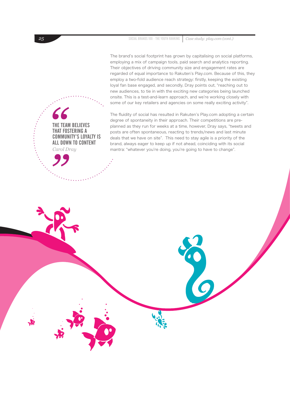The brand's social footprint has grown by capitalising on social platforms, employing a mix of campaign tools, paid search and analytics reporting. Their objectives of driving community size and engagement rates are regarded of equal importance to Rakuten's Play.com. Because of this, they employ a two-fold audience reach strategy: firstly, keeping the existing loyal fan base engaged, and secondly, Dray points out, "reaching out to new audiences, to tie in with the exciting new categories being launched onsite. This is a test-and-learn approach, and we're working closely with some of our key retailers and agencies on some really exciting activity".

The fluidity of social has resulted in Rakuten's Play.com adopting a certain degree of spontaneity in their approach. Their competitions are preplanned as they run for weeks at a time, however, Dray says, "tweets and posts are often spontaneous, reacting to trends/news and last minute deals that we have on site". This need to stay agile is a priority of the brand, always eager to keep up if not ahead, coinciding with its social mantra: "whatever you're doing, you're going to have to change".

THE TEAM BELIEVES THAT FOSTERING A COMMUNITY'S LOYALTY IS ALL DOWN TO CONTENT

*Carol Dray*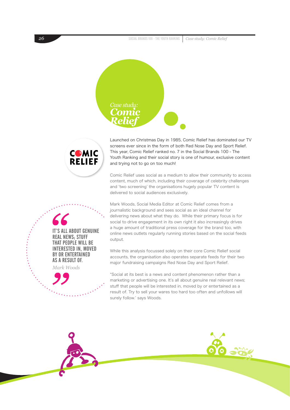**26** SOCIAL BRANDS 100 - THE YOUTH RANKING *Case study: Comic Relief* 

![](_page_25_Picture_1.jpeg)

**COMIC RELIEF** 

Launched on Christmas Day in 1985, Comic Relief has dominated our TV screens ever since in the form of both Red Nose Day and Sport Relief. This year, Comic Relief ranked no. 7 in the Social Brands 100 - The Youth Ranking and their social story is one of humour, exclusive content and trying not to go on too much!

Comic Relief uses social as a medium to allow their community to access content, much of which, including their coverage of celebrity challenges and 'two screening' the organisations hugely popular TV content is delivered to social audiences exclusively.

Mark Woods, Social Media Editor at Comic Relief comes from a journalistic background and sees social as an ideal channel for delivering news about what they do. While their primary focus is for social to drive engagement in its own right it also increasingly drives a huge amount of traditional press coverage for the brand too, with online news outlets regularly running stories based on the social feeds output.

While this analysis focussed solely on their core Comic Relief social accounts, the organisation also operates separate feeds for their two major fundraising campaigns Red Nose Day and Sport Relief.

"Social at its best is a news and content phenomenon rather than a marketing or advertising one. It's all about genuine real relevant news; stuff that people will be interested in, moved by or entertained as a result of. Try to sell your wares too hard too often and unfollows will surely follow.' says Woods.

![](_page_25_Picture_8.jpeg)

IT'S ALL ABOUT GENUINE REAL NEWS; STUFF

![](_page_25_Picture_9.jpeg)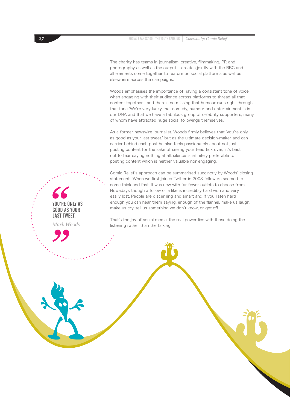The charity has teams in journalism, creative, filmmaking, PR and photography as well as the output it creates jointly with the BBC and all elements come together to feature on social platforms as well as elsewhere across the campaigns.

Woods emphasises the importance of having a consistent tone of voice when engaging with their audience across platforms to thread all that content together - and there's no missing that humour runs right through that tone 'We're very lucky that comedy, humour and entertainment is in our DNA and that we have a fabulous group of celebrity supporters, many of whom have attracted huge social followings themselves."

As a former newswire journalist, Woods firmly believes that 'you're only as good as your last tweet.' but as the ultimate decision-maker and can carrier behind each post he also feels passionately about not just posting content for the sake of seeing your feed tick over, 'it's best not to fear saying nothing at all; silence is infinitely preferable to posting content which is neither valuable nor engaging.

Comic Relief's approach can be summarised succinctly by Woods' closing statement, 'When we first joined Twitter in 2008 followers seemed to come thick and fast. It was new with far fewer outlets to choose from. Nowadays though a follow or a like is incredibly hard won and very easily lost. People are discerning and smart and if you listen hard enough you can hear them saying, enough of the flannel, make us laugh, make us cry, tell us something we don't know, or get off.

That's the joy of social media, the real power lies with those doing the listening rather than the talking.

YOU'RE ONLY AS GOOD AS YOUR LAST TWEET.

*Mark Woods*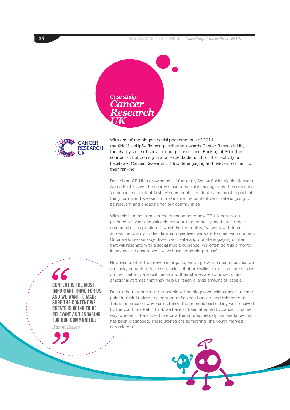**28** SOCIAL BRANDS 100 - THE YOUTH RANKING *Case Study: Cancer Research UK* 

![](_page_27_Picture_1.jpeg)

![](_page_27_Picture_2.jpeg)

With one of the biggest social phenomenons of 2014; the #NoMakeUpSelfie being attributed towards Cancer Research UK, the charity's use of social cannot go unnoticed. Ranking at 30 in the source list, but coming in at a respectable no. 3 for their activity on Facebook, Cancer Research UK tribute engaging and relevant content to their ranking.

Describing CR UK's growing social footprint, Senior Social Media Manager Aaron Eccles says the charity's use of social is managed by the conviction; 'audience led, content first.' He comments, 'content is the most important thing for us and we want to make sure the content we create is going to be relevant and engaging for our communities'.

With this in mind, it poses the question as to how CR UK continue to produce relevant and valuable content to continually seed out to their communities, a question to which Eccles replies, 'we work with teams across the charity to decide what objectives we want to meet with content. Once we know our objectives, we create appropriate engaging content that will resonate with a social media audience. We often do this a month in advance to ensure we always have something to use'.

However, a lot of the growth is organic, 'we've grown so much because we are lucky enough to have supporters that are willing to let us share stories on their behalf via social media and their stories are so powerful and emotional at times that they help us reach a large amount of people'.

Due to the fact one in three people will be diagnosed with cancer at some point in their lifetime, the content defies age barriers and relates to all. This is one reason why Eccles thinks the brand is particularly well-received by the youth market; 'I think we have all been affected by cancer in some way, whether it be a loved one or a friend or somebody that we know that has been diagnosed. These stories are something [the youth market] can relate to'.

**ENT IS THE MOST** IMPORTANT THING FOR US AND WE WANT TO MAKE SURE THE CONTENT WE CREATE IS GOING TO BE RELEVANT AND ENGAGING FOR OUR COMMUNITIES

*Aaron Eccles*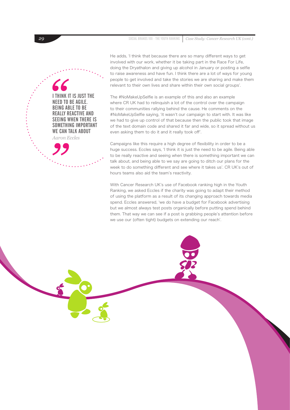**29** SOCIAL BRANDS 100 - THE YOUTH RANKING *Case Study: Cancer Research UK (cont.)* 

He adds, 'I think that because there are so many different ways to get involved with our work, whether it be taking part in the Race For Life, doing the Dryathalon and giving up alcohol in January or posting a selfie to raise awareness and have fun. I think there are a lot of ways for young people to get involved and take the stories we are sharing and make them relevant to their own lives and share within their own social groups'.

The #NoMakeUpSelfie is an example of this and also an example where CR UK had to relinquish a lot of the control over the campaign to their communities rallying behind the cause. He comments on the #NoMakeUpSelfie saying, 'it wasn't our campaign to start with. It was like we had to give up control of that because then the public took that image of the text domain code and shared it far and wide, so it spread without us even asking them to do it and it really took off'.

Campaigns like this require a high degree of flexibility in order to be a huge success. Eccles says, 'I think it is just the need to be agile. Being able to be really reactive and seeing when there is something important we can talk about, and being able to we say are going to ditch our plans for the week to do something different and see where it takes us'. CR UK's out of hours teams also aid the team's reactivity.

With Cancer Research UK's use of Facebook ranking high in the Youth Ranking, we asked Eccles if the charity was going to adapt their method of using the platform as a result of its changing approach towards media spend. Eccles answered, 'we do have a budget for Facebook advertising but we almost always test posts organically before putting spend behind them. That way we can see if a post is grabbing people's attention before we use our (often tight) budgets on extending our reach'.

![](_page_28_Picture_5.jpeg)

I THINK IT IS JUST THE NEED TO BE AGILE. BEING ABLE TO BE REALLY REACTIVE AND SEEING WHEN THERE IS SOMETHING IMPORTANT WE CAN TALK ABOUT *Aaron Eccles*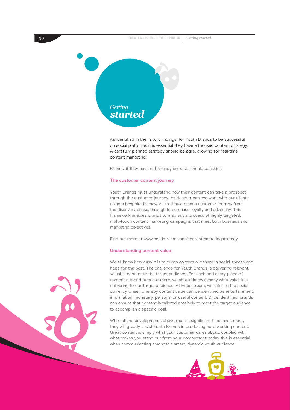![](_page_29_Picture_1.jpeg)

As identified in the report findings, for Youth Brands to be successful on social platforms it is essential they have a focused content strategy. A carefully planned strategy should be agile, allowing for real-time content marketing.

Brands, if they have not already done so, should consider:

#### The customer content journey

Youth Brands must understand how their content can take a prospect through the customer journey. At Headstream, we work with our clients using a bespoke framework to simulate each customer journey from the discovery phase, through to purchase, loyalty and advocacy. This framework enables brands to map out a process of highly targeted, multi-touch content marketing campaigns that meet both business and marketing objectives.

Find out more at www.headstream.com/contentmarketingstrategy

#### Understanding content value

We all know how easy it is to dump content out there in social spaces and hope for the best. The challenge for Youth Brands is delivering relevant, valuable content to the target audience. For each and every piece of content a brand puts out there, we should know exactly what value it is delivering to our target audience. At Headstream, we refer to the social currency wheel, whereby content value can be identified as entertainment, information, monetary, personal or useful content. Once identified, brands can ensure that content is tailored precisely to meet the target audience to accomplish a specific goal.

While all the developments above require significant time investment, they will greatly assist Youth Brands in producing hard working content. Great content is simply what your customer cares about, coupled with what makes you stand out from your competitors; today this is essential when communicating amongst a smart, dynamic youth audience.

![](_page_29_Picture_10.jpeg)

![](_page_29_Picture_11.jpeg)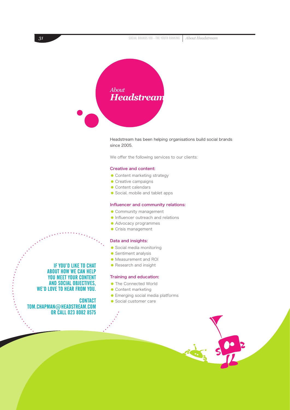*31* SOCIAL BRANDS 100 - THE YOUTH RANKING *About Headstream*

![](_page_30_Picture_1.jpeg)

Headstream has been helping organisations build social brands since 2005.

We offer the following services to our clients:

## Creative and content:

- **Content marketing strategy**
- **Creative campaigns**
- Content calendars
- Social, mobile and tablet apps

#### Influencer and community relations:

- **Community management**
- **•** Influencer outreach and relations
- Advocacy programmes
- **Crisis management**

### Data and insights:

- Social media monitoring
- Sentiment analysis
- Measurement and ROI
- Research and insight

#### Training and education:

- **The Connected World**
- Content marketing
- **•** Emerging social media platforms
- Social customer care

IF YOU'D LIKE TO CHAT ABOUT HOW WE CAN HELP YOU MEET YOUR CONTENT AND SOCIAL OBJECTIVES, WE'D LOVE TO HEAR FROM YOU.

**CONTACT** TOM.CHAPMAN@HEADSTREAM.COM OR CALL 023 8082 8575